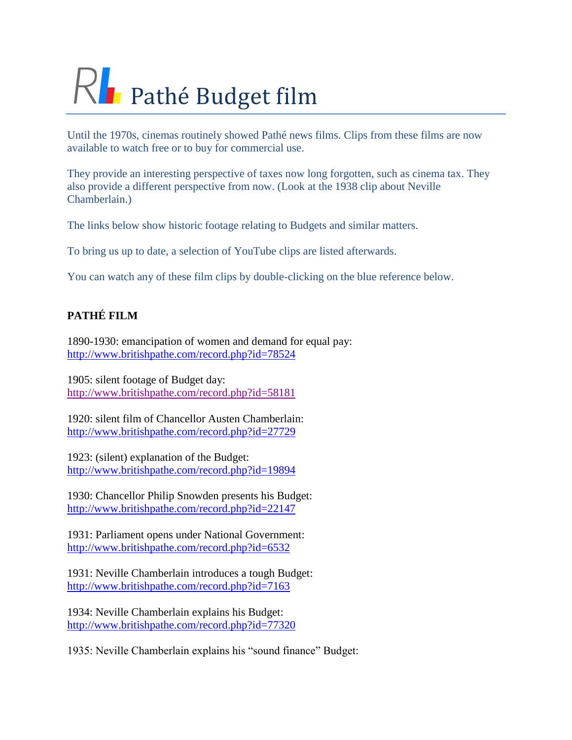## $R$  Pathé Budget film

Until the 1970s, cinemas routinely showed Pathé news films. Clips from these films are now available to watch free or to buy for commercial use.

They provide an interesting perspective of taxes now long forgotten, such as cinema tax. They also provide a different perspective from now. (Look at the 1938 clip about Neville Chamberlain.)

The links below show historic footage relating to Budgets and similar matters.

To bring us up to date, a selection of YouTube clips are listed afterwards.

You can watch any of these film clips by double-clicking on the blue reference below.

## **PATHÉ FILM**

1890-1930: emancipation of women and demand for equal pay: <http://www.britishpathe.com/record.php?id=78524>

1905: silent footage of Budget day: <http://www.britishpathe.com/record.php?id=58181>

1920: silent film of Chancellor Austen Chamberlain: <http://www.britishpathe.com/record.php?id=27729>

1923: (silent) explanation of the Budget: <http://www.britishpathe.com/record.php?id=19894>

1930: Chancellor Philip Snowden presents his Budget: <http://www.britishpathe.com/record.php?id=22147>

1931: Parliament opens under National Government: <http://www.britishpathe.com/record.php?id=6532>

1931: Neville Chamberlain introduces a tough Budget: <http://www.britishpathe.com/record.php?id=7163>

1934: Neville Chamberlain explains his Budget: <http://www.britishpathe.com/record.php?id=77320>

1935: Neville Chamberlain explains his "sound finance" Budget: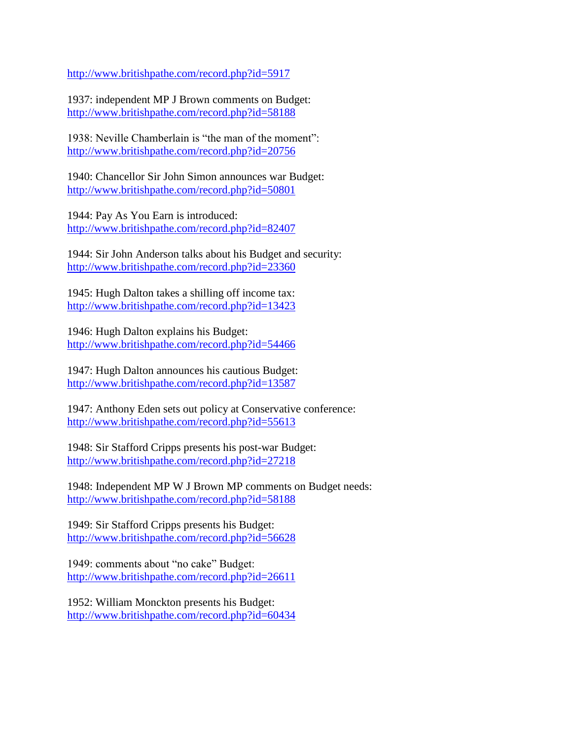<http://www.britishpathe.com/record.php?id=5917>

1937: independent MP J Brown comments on Budget: <http://www.britishpathe.com/record.php?id=58188>

1938: Neville Chamberlain is "the man of the moment": <http://www.britishpathe.com/record.php?id=20756>

1940: Chancellor Sir John Simon announces war Budget: <http://www.britishpathe.com/record.php?id=50801>

1944: Pay As You Earn is introduced: <http://www.britishpathe.com/record.php?id=82407>

1944: Sir John Anderson talks about his Budget and security: <http://www.britishpathe.com/record.php?id=23360>

1945: Hugh Dalton takes a shilling off income tax: <http://www.britishpathe.com/record.php?id=13423>

1946: Hugh Dalton explains his Budget: <http://www.britishpathe.com/record.php?id=54466>

1947: Hugh Dalton announces his cautious Budget: <http://www.britishpathe.com/record.php?id=13587>

1947: Anthony Eden sets out policy at Conservative conference: <http://www.britishpathe.com/record.php?id=55613>

1948: Sir Stafford Cripps presents his post-war Budget: <http://www.britishpathe.com/record.php?id=27218>

1948: Independent MP W J Brown MP comments on Budget needs: <http://www.britishpathe.com/record.php?id=58188>

1949: Sir Stafford Cripps presents his Budget: <http://www.britishpathe.com/record.php?id=56628>

1949: comments about "no cake" Budget: <http://www.britishpathe.com/record.php?id=26611>

1952: William Monckton presents his Budget: <http://www.britishpathe.com/record.php?id=60434>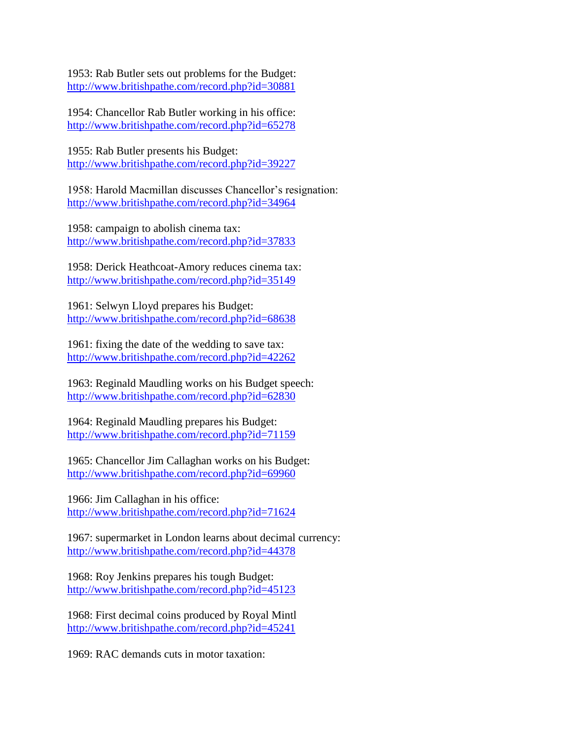1953: Rab Butler sets out problems for the Budget: <http://www.britishpathe.com/record.php?id=30881>

1954: Chancellor Rab Butler working in his office: <http://www.britishpathe.com/record.php?id=65278>

1955: Rab Butler presents his Budget: <http://www.britishpathe.com/record.php?id=39227>

1958: Harold Macmillan discusses Chancellor's resignation: <http://www.britishpathe.com/record.php?id=34964>

1958: campaign to abolish cinema tax: <http://www.britishpathe.com/record.php?id=37833>

1958: Derick Heathcoat-Amory reduces cinema tax: <http://www.britishpathe.com/record.php?id=35149>

1961: Selwyn Lloyd prepares his Budget: <http://www.britishpathe.com/record.php?id=68638>

1961: fixing the date of the wedding to save tax: <http://www.britishpathe.com/record.php?id=42262>

1963: Reginald Maudling works on his Budget speech: <http://www.britishpathe.com/record.php?id=62830>

1964: Reginald Maudling prepares his Budget: <http://www.britishpathe.com/record.php?id=71159>

1965: Chancellor Jim Callaghan works on his Budget: <http://www.britishpathe.com/record.php?id=69960>

1966: Jim Callaghan in his office: <http://www.britishpathe.com/record.php?id=71624>

1967: supermarket in London learns about decimal currency: <http://www.britishpathe.com/record.php?id=44378>

1968: Roy Jenkins prepares his tough Budget: <http://www.britishpathe.com/record.php?id=45123>

1968: First decimal coins produced by Royal Mintl <http://www.britishpathe.com/record.php?id=45241>

1969: RAC demands cuts in motor taxation: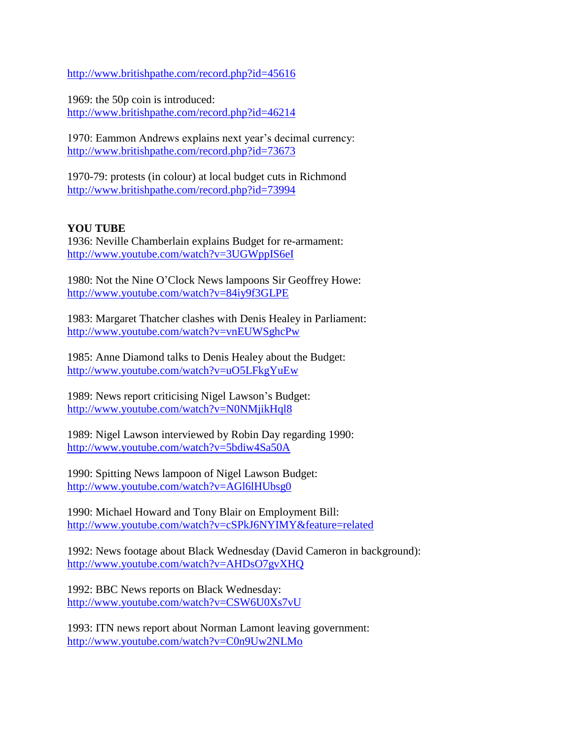<http://www.britishpathe.com/record.php?id=45616>

1969: the 50p coin is introduced: <http://www.britishpathe.com/record.php?id=46214>

1970: Eammon Andrews explains next year's decimal currency: <http://www.britishpathe.com/record.php?id=73673>

1970-79: protests (in colour) at local budget cuts in Richmond <http://www.britishpathe.com/record.php?id=73994>

## **YOU TUBE**

1936: Neville Chamberlain explains Budget for re-armament: <http://www.youtube.com/watch?v=3UGWppIS6eI>

1980: Not the Nine O'Clock News lampoons Sir Geoffrey Howe: <http://www.youtube.com/watch?v=84iy9f3GLPE>

1983: Margaret Thatcher clashes with Denis Healey in Parliament: <http://www.youtube.com/watch?v=vnEUWSghcPw>

1985: Anne Diamond talks to Denis Healey about the Budget: <http://www.youtube.com/watch?v=uO5LFkgYuEw>

1989: News report criticising Nigel Lawson's Budget: <http://www.youtube.com/watch?v=N0NMjikHql8>

1989: Nigel Lawson interviewed by Robin Day regarding 1990: <http://www.youtube.com/watch?v=5bdiw4Sa50A>

1990: Spitting News lampoon of Nigel Lawson Budget: <http://www.youtube.com/watch?v=AGl6lHUbsg0>

1990: Michael Howard and Tony Blair on Employment Bill: <http://www.youtube.com/watch?v=cSPkJ6NYIMY&feature=related>

1992: News footage about Black Wednesday (David Cameron in background): <http://www.youtube.com/watch?v=AHDsO7gvXHQ>

1992: BBC News reports on Black Wednesday: <http://www.youtube.com/watch?v=CSW6U0Xs7vU>

1993: ITN news report about Norman Lamont leaving government: <http://www.youtube.com/watch?v=C0n9Uw2NLMo>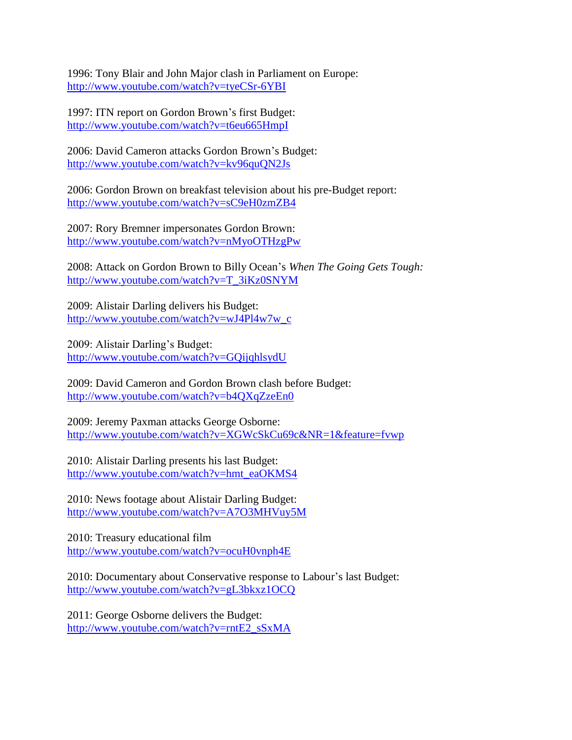1996: Tony Blair and John Major clash in Parliament on Europe: <http://www.youtube.com/watch?v=tyeCSr-6YBI>

1997: ITN report on Gordon Brown's first Budget: <http://www.youtube.com/watch?v=t6eu665HmpI>

2006: David Cameron attacks Gordon Brown's Budget: <http://www.youtube.com/watch?v=kv96quQN2Js>

2006: Gordon Brown on breakfast television about his pre-Budget report: <http://www.youtube.com/watch?v=sC9eH0zmZB4>

2007: Rory Bremner impersonates Gordon Brown: <http://www.youtube.com/watch?v=nMyoOTHzgPw>

2008: Attack on Gordon Brown to Billy Ocean's *When The Going Gets Tough:* [http://www.youtube.com/watch?v=T\\_3iKz0SNYM](http://www.youtube.com/watch?v=T_3iKz0SNYM)

2009: Alistair Darling delivers his Budget: [http://www.youtube.com/watch?v=wJ4Pl4w7w\\_c](http://www.youtube.com/watch?v=wJ4Pl4w7w_c)

2009: Alistair Darling's Budget: <http://www.youtube.com/watch?v=GQijqhlsydU>

2009: David Cameron and Gordon Brown clash before Budget: <http://www.youtube.com/watch?v=b4QXqZzeEn0>

2009: Jeremy Paxman attacks George Osborne: <http://www.youtube.com/watch?v=XGWcSkCu69c&NR=1&feature=fvwp>

2010: Alistair Darling presents his last Budget: [http://www.youtube.com/watch?v=hmt\\_eaOKMS4](http://www.youtube.com/watch?v=hmt_eaOKMS4)

2010: News footage about Alistair Darling Budget: <http://www.youtube.com/watch?v=A7O3MHVuy5M>

2010: Treasury educational film <http://www.youtube.com/watch?v=ocuH0vnph4E>

2010: Documentary about Conservative response to Labour's last Budget: <http://www.youtube.com/watch?v=gL3bkxz1OCQ>

2011: George Osborne delivers the Budget: [http://www.youtube.com/watch?v=rntE2\\_sSxMA](http://www.youtube.com/watch?v=rntE2_sSxMA)